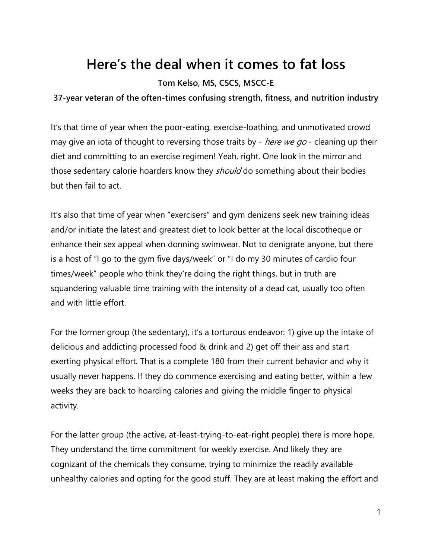## **Here's the deal when it comes to fat loss**

### **Tom Kelso, MS, CSCS, MSCC-E**

#### **37-year veteran of the often-times confusing strength, fitness, and nutrition industry**

It's that time of year when the poor-eating, exercise-loathing, and unmotivated crowd may give an iota of thought to reversing those traits by - *here we go* - cleaning up their diet and committing to an exercise regimen! Yeah, right. One look in the mirror and those sedentary calorie hoarders know they *should* do something about their bodies but then fail to act.

It's also that time of year when "exercisers" and gym denizens seek new training ideas and/or initiate the latest and greatest diet to look better at the local discotheque or enhance their sex appeal when donning swimwear. Not to denigrate anyone, but there is a host of "I go to the gym five days/week" or "I do my 30 minutes of cardio four times/week" people who think they're doing the right things, but in truth are squandering valuable time training with the intensity of a dead cat, usually too often and with little effort.

For the former group (the sedentary), it's a torturous endeavor: 1) give up the intake of delicious and addicting processed food & drink and 2) get off their ass and start exerting physical effort. That is a complete 180 from their current behavior and why it usually never happens. If they do commence exercising and eating better, within a few weeks they are back to hoarding calories and giving the middle finger to physical activity.

For the latter group (the active, at-least-trying-to-eat-right people) there is more hope. They understand the time commitment for weekly exercise. And likely they are cognizant of the chemicals they consume, trying to minimize the readily available unhealthy calories and opting for the good stuff. They are at least making the effort and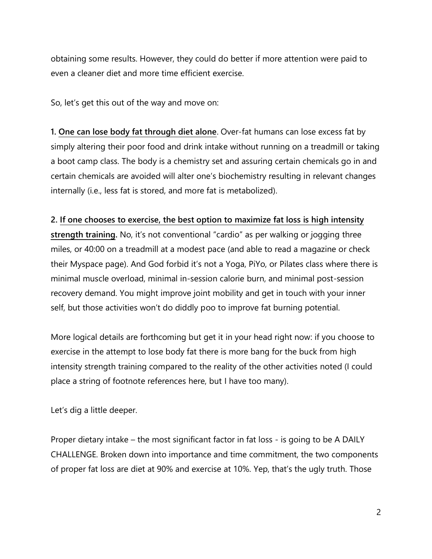obtaining some results. However, they could do better if more attention were paid to even a cleaner diet and more time efficient exercise.

So, let's get this out of the way and move on:

**1. One can lose body fat through diet alone**. Over-fat humans can lose excess fat by simply altering their poor food and drink intake without running on a treadmill or taking a boot camp class. The body is a chemistry set and assuring certain chemicals go in and certain chemicals are avoided will alter one's biochemistry resulting in relevant changes internally (i.e., less fat is stored, and more fat is metabolized).

#### **2. If one chooses to exercise, the best option to maximize fat loss is high intensity**

**strength training.** No, it's not conventional "cardio" as per walking or jogging three miles, or 40:00 on a treadmill at a modest pace (and able to read a magazine or check their Myspace page). And God forbid it's not a Yoga, PiYo, or Pilates class where there is minimal muscle overload, minimal in-session calorie burn, and minimal post-session recovery demand. You might improve joint mobility and get in touch with your inner self, but those activities won't do diddly poo to improve fat burning potential.

More logical details are forthcoming but get it in your head right now: if you choose to exercise in the attempt to lose body fat there is more bang for the buck from high intensity strength training compared to the reality of the other activities noted (I could place a string of footnote references here, but I have too many).

Let's dig a little deeper.

Proper dietary intake – the most significant factor in fat loss - is going to be A DAILY CHALLENGE. Broken down into importance and time commitment, the two components of proper fat loss are diet at 90% and exercise at 10%. Yep, that's the ugly truth. Those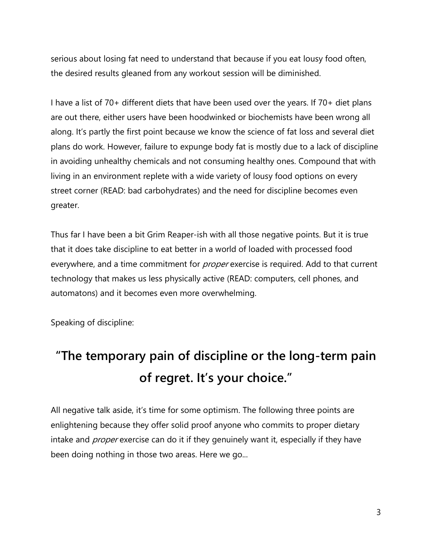serious about losing fat need to understand that because if you eat lousy food often, the desired results gleaned from any workout session will be diminished.

I have a list of 70+ different diets that have been used over the years. If 70+ diet plans are out there, either users have been hoodwinked or biochemists have been wrong all along. It's partly the first point because we know the science of fat loss and several diet plans do work. However, failure to expunge body fat is mostly due to a lack of discipline in avoiding unhealthy chemicals and not consuming healthy ones. Compound that with living in an environment replete with a wide variety of lousy food options on every street corner (READ: bad carbohydrates) and the need for discipline becomes even greater.

Thus far I have been a bit Grim Reaper-ish with all those negative points. But it is true that it does take discipline to eat better in a world of loaded with processed food everywhere, and a time commitment for *proper* exercise is required. Add to that current technology that makes us less physically active (READ: computers, cell phones, and automatons) and it becomes even more overwhelming.

Speaking of discipline:

# **"The temporary pain of discipline or the long-term pain of regret. It's your choice."**

All negative talk aside, it's time for some optimism. The following three points are enlightening because they offer solid proof anyone who commits to proper dietary intake and *proper* exercise can do it if they genuinely want it, especially if they have been doing nothing in those two areas. Here we go...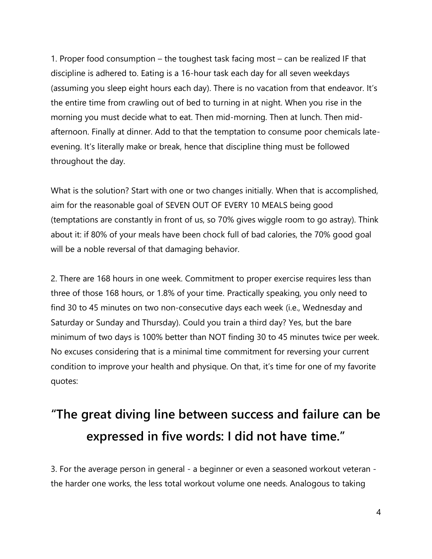1. Proper food consumption – the toughest task facing most – can be realized IF that discipline is adhered to. Eating is a 16-hour task each day for all seven weekdays (assuming you sleep eight hours each day). There is no vacation from that endeavor. It's the entire time from crawling out of bed to turning in at night. When you rise in the morning you must decide what to eat. Then mid-morning. Then at lunch. Then midafternoon. Finally at dinner. Add to that the temptation to consume poor chemicals lateevening. It's literally make or break, hence that discipline thing must be followed throughout the day.

What is the solution? Start with one or two changes initially. When that is accomplished, aim for the reasonable goal of SEVEN OUT OF EVERY 10 MEALS being good (temptations are constantly in front of us, so 70% gives wiggle room to go astray). Think about it: if 80% of your meals have been chock full of bad calories, the 70% good goal will be a noble reversal of that damaging behavior.

2. There are 168 hours in one week. Commitment to proper exercise requires less than three of those 168 hours, or 1.8% of your time. Practically speaking, you only need to find 30 to 45 minutes on two non-consecutive days each week (i.e., Wednesday and Saturday or Sunday and Thursday). Could you train a third day? Yes, but the bare minimum of two days is 100% better than NOT finding 30 to 45 minutes twice per week. No excuses considering that is a minimal time commitment for reversing your current condition to improve your health and physique. On that, it's time for one of my favorite quotes:

## **"The great diving line between success and failure can be expressed in five words: I did not have time."**

3. For the average person in general - a beginner or even a seasoned workout veteran the harder one works, the less total workout volume one needs. Analogous to taking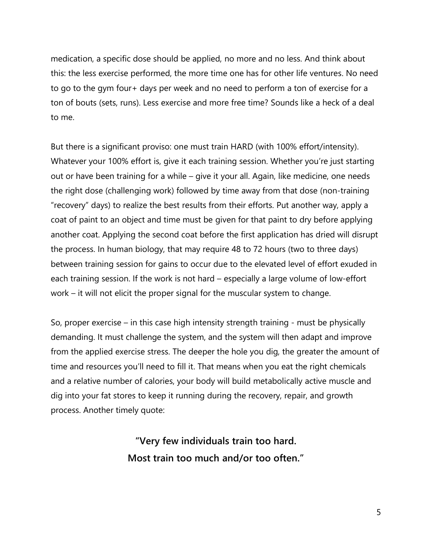medication, a specific dose should be applied, no more and no less. And think about this: the less exercise performed, the more time one has for other life ventures. No need to go to the gym four+ days per week and no need to perform a ton of exercise for a ton of bouts (sets, runs). Less exercise and more free time? Sounds like a heck of a deal to me.

But there is a significant proviso: one must train HARD (with 100% effort/intensity). Whatever your 100% effort is, give it each training session. Whether you're just starting out or have been training for a while – give it your all. Again, like medicine, one needs the right dose (challenging work) followed by time away from that dose (non-training "recovery" days) to realize the best results from their efforts. Put another way, apply a coat of paint to an object and time must be given for that paint to dry before applying another coat. Applying the second coat before the first application has dried will disrupt the process. In human biology, that may require 48 to 72 hours (two to three days) between training session for gains to occur due to the elevated level of effort exuded in each training session. If the work is not hard – especially a large volume of low-effort work – it will not elicit the proper signal for the muscular system to change.

So, proper exercise – in this case high intensity strength training - must be physically demanding. It must challenge the system, and the system will then adapt and improve from the applied exercise stress. The deeper the hole you dig, the greater the amount of time and resources you'll need to fill it. That means when you eat the right chemicals and a relative number of calories, your body will build metabolically active muscle and dig into your fat stores to keep it running during the recovery, repair, and growth process. Another timely quote:

> **"Very few individuals train too hard. Most train too much and/or too often."**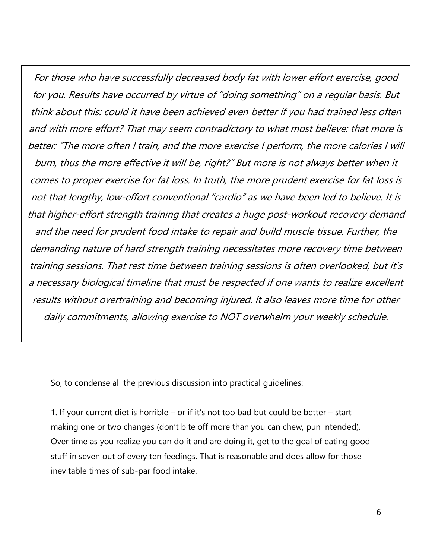For those who have successfully decreased body fat with lower effort exercise, good for you. Results have occurred by virtue of "doing something" on a regular basis. But think about this: could it have been achieved even better if you had trained less often and with more effort? That may seem contradictory to what most believe: that more is better: "The more often I train, and the more exercise I perform, the more calories I will burn, thus the more effective it will be, right?" But more is not always better when it comes to proper exercise for fat loss. In truth, the more prudent exercise for fat loss is not that lengthy, low-effort conventional "cardio" as we have been led to believe. It is that higher-effort strength training that creates a huge post-workout recovery demand and the need for prudent food intake to repair and build muscle tissue. Further, the demanding nature of hard strength training necessitates more recovery time between training sessions. That rest time between training sessions is often overlooked, but it's a necessary biological timeline that must be respected if one wants to realize excellent results without overtraining and becoming injured. It also leaves more time for other daily commitments, allowing exercise to NOT overwhelm your weekly schedule.

So, to condense all the previous discussion into practical guidelines:

1. If your current diet is horrible – or if it's not too bad but could be better – start making one or two changes (don't bite off more than you can chew, pun intended). Over time as you realize you can do it and are doing it, get to the goal of eating good stuff in seven out of every ten feedings. That is reasonable and does allow for those inevitable times of sub-par food intake.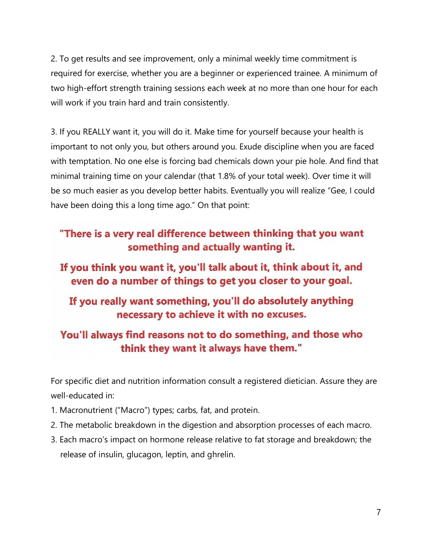2. To get results and see improvement, only a minimal weekly time commitment is required for exercise, whether you are a beginner or experienced trainee. A minimum of two high-effort strength training sessions each week at no more than one hour for each will work if you train hard and train consistently.

3. If you REALLY want it, you will do it. Make time for yourself because your health is important to not only you, but others around you. Exude discipline when you are faced with temptation. No one else is forcing bad chemicals down your pie hole. And find that minimal training time on your calendar (that 1.8% of your total week). Over time it will be so much easier as you develop better habits. Eventually you will realize "Gee, I could have been doing this a long time ago." On that point:

## "There is a very real difference between thinking that you want something and actually wanting it.

### If you think you want it, you'll talk about it, think about it, and even do a number of things to get you closer to your goal.

### If you really want something, you'll do absolutely anything necessary to achieve it with no excuses.

### You'll always find reasons not to do something, and those who think they want it always have them."

For specific diet and nutrition information consult a registered dietician. Assure they are well-educated in:

- 1. Macronutrient ("Macro") types; carbs, fat, and protein.
- 2. The metabolic breakdown in the digestion and absorption processes of each macro.
- 3. Each macro's impact on hormone release relative to fat storage and breakdown; the release of insulin, glucagon, leptin, and ghrelin.